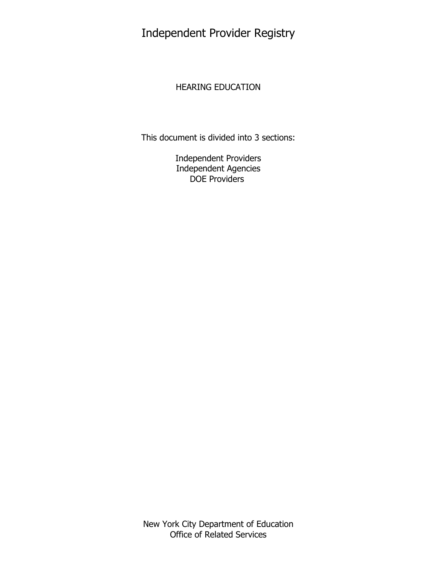Independent Provider Registry

## HEARING EDUCATION

This document is divided into 3 sections:

Independent Providers Independent Agencies DOE Providers

New York City Department of Education Office of Related Services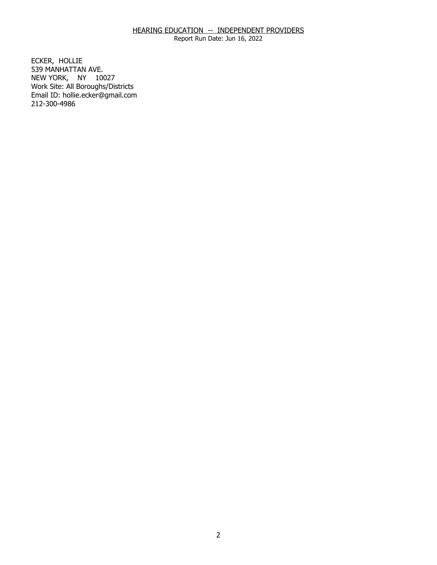Report Run Date: Jun 16, 2022

ECKER, HOLLIE NEW YORK, NY 10027 539 MANHATTAN AVE. Work Site: All Boroughs/Districts Email ID: [hollie.ecker@gmail.com](mailto:hollie.ecker@gmail.com) 212-300-4986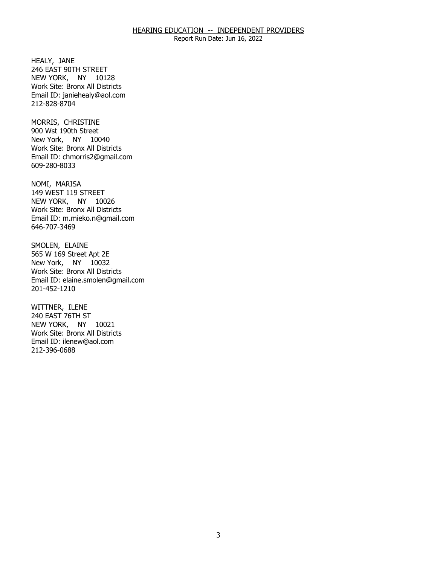Report Run Date: Jun 16, 2022

HEALY, JANE NEW YORK, NY 10128 246 EAST 90TH STREET Work Site: Bronx All Districts Email ID: [janiehealy@aol.com](mailto:janiehealy@aol.com)  212-828-8704

MORRIS, CHRISTINE New York, NY 10040 900 Wst 190th Street Work Site: Bronx All Districts Email ID: [chmorris2@gmail.com](mailto:chmorris2@gmail.com)  609-280-8033

NOMI, MARISA NEW YORK, NY 10026 149 WEST 119 STREET Work Site: Bronx All Districts Email ID: [m.mieko.n@gmail.com](mailto:m.mieko.n@gmail.com)  646-707-3469

SMOLEN, ELAINE New York, NY 10032 565 W 169 Street Apt 2E Work Site: Bronx All Districts Email ID: [elaine.smolen@gmail.com](mailto:elaine.smolen@gmail.com)  201-452-1210

WITTNER, ILENE NEW YORK, NY 10021 240 EAST 76TH ST Work Site: Bronx All Districts Email ID: [ilenew@aol.com](mailto:ilenew@aol.com) 212-396-0688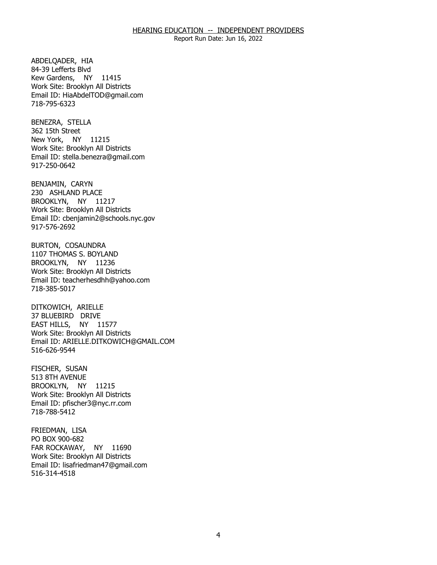Report Run Date: Jun 16, 2022

ABDELOADER, HIA Kew Gardens, NY 11415 84-39 Lefferts Blvd Work Site: Brooklyn All Districts Email ID: [HiaAbdelTOD@gmail.com](mailto:HiaAbdelTOD@gmail.com)  718-795-6323

BENEZRA, STELLA<br>362 15th Street New York, NY 11215 Work Site: Brooklyn All Districts Email ID: [stella.benezra@gmail.com](mailto:stella.benezra@gmail.com) 917-250-0642

BENJAMIN, CARYN BROOKLYN, NY 11217 230 ASHLAND PLACE Work Site: Brooklyn All Districts Email ID: [cbenjamin2@schools.nyc.gov](mailto:cbenjamin2@schools.nyc.gov) 917-576-2692

BURTON, COSAUNDRA BROOKLYN, NY 11236 1107 THOMAS S. BOYLAND Work Site: Brooklyn All Districts Email ID: [teacherhesdhh@yahoo.com](mailto:teacherhesdhh@yahoo.com) 718-385-5017

DITKOWICH, ARIELLE EAST HILLS, NY 11577 37 BLUEBIRD DRIVE Work Site: Brooklyn All Districts Email ID: [ARIELLE.DITKOWICH@GMAIL.COM](mailto:ARIELLE.DITKOWICH@GMAIL.COM)  516-626-9544

FISCHER, SUSAN BROOKLYN, NY 11215 513 8TH AVENUE Work Site: Brooklyn All Districts Email ID: [pfischer3@nyc.rr.com](mailto:pfischer3@nyc.rr.com)  718-788-5412

FRIEDMAN, LISA<br>PO BOX 900-682 FAR ROCKAWAY, NY 11690 Work Site: Brooklyn All Districts Email ID: [lisafriedman47@gmail.com](mailto:lisafriedman47@gmail.com)  516-314-4518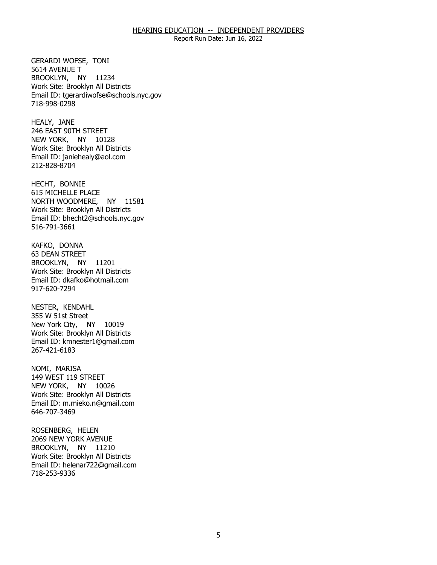Report Run Date: Jun 16, 2022

GERARDI WOFSE, TONI<br>5614 AVENUE T BROOKLYN, NY 11234 Work Site: Brooklyn All Districts Email ID: [tgerardiwofse@schools.nyc.gov](mailto:tgerardiwofse@schools.nyc.gov)  718-998-0298

HEALY, JANE NEW YORK, NY 10128 246 EAST 90TH STREET Work Site: Brooklyn All Districts Email ID: [janiehealy@aol.com](mailto:janiehealy@aol.com)  212-828-8704

HECHT, BONNIE NORTH WOODMERE, NY 11581 615 MICHELLE PLACE Work Site: Brooklyn All Districts Email ID: [bhecht2@schools.nyc.gov](mailto:bhecht2@schools.nyc.gov)  516-791-3661

KAFKO, DONNA BROOKLYN, NY 11201 63 DEAN STREET Work Site: Brooklyn All Districts Email ID: [dkafko@hotmail.com](mailto:dkafko@hotmail.com) 917-620-7294

NESTER, KENDAHL New York City, NY 10019 355 W 51st Street Work Site: Brooklyn All Districts Email ID: [kmnester1@gmail.com](mailto:kmnester1@gmail.com)  267-421-6183

NOMI, MARISA NEW YORK, NY 10026 149 WEST 119 STREET Work Site: Brooklyn All Districts Email ID: [m.mieko.n@gmail.com](mailto:m.mieko.n@gmail.com)  646-707-3469

 ROSENBERG, HELEN BROOKLYN, NY 11210 2069 NEW YORK AVENUE Work Site: Brooklyn All Districts Email ID: [helenar722@gmail.com](mailto:helenar722@gmail.com) 718-253-9336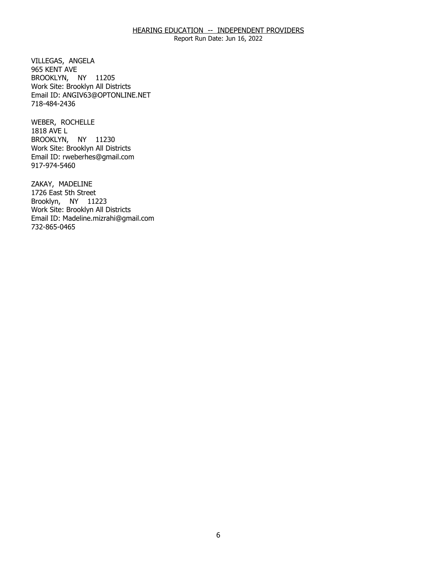Report Run Date: Jun 16, 2022

VILLEGAS, ANGELA<br>965 KENT AVE BROOKLYN, NY 11205 Work Site: Brooklyn All Districts Email ID: [ANGIV63@OPTONLINE.NET](mailto:ANGIV63@OPTONLINE.NET) 718-484-2436

 WEBER, ROCHELLE 1818 AVE L BROOKLYN, NY 11230 Work Site: Brooklyn All Districts Email ID: [rweberhes@gmail.com](mailto:rweberhes@gmail.com) 917-974-5460

ZAKAY, MADELINE Brooklyn, NY 11223 1726 East 5th Street Work Site: Brooklyn All Districts Email ID: [Madeline.mizrahi@gmail.com](mailto:Madeline.mizrahi@gmail.com) 732-865-0465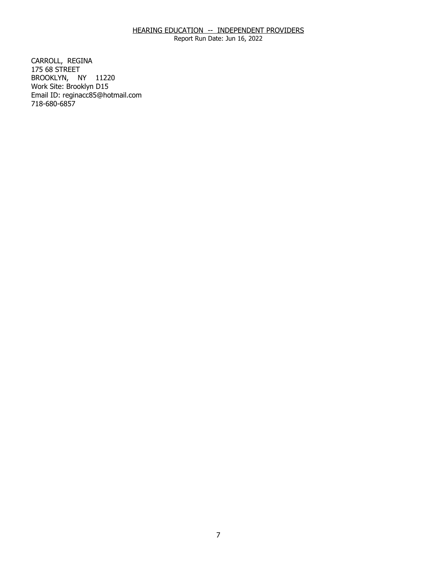Report Run Date: Jun 16, 2022

CARROLL, REGINA<br>175 68 STREET BROOKLYN, NY 11220 Work Site: Brooklyn D15 Email ID: [reginacc85@hotmail.com](mailto:reginacc85@hotmail.com)  718-680-6857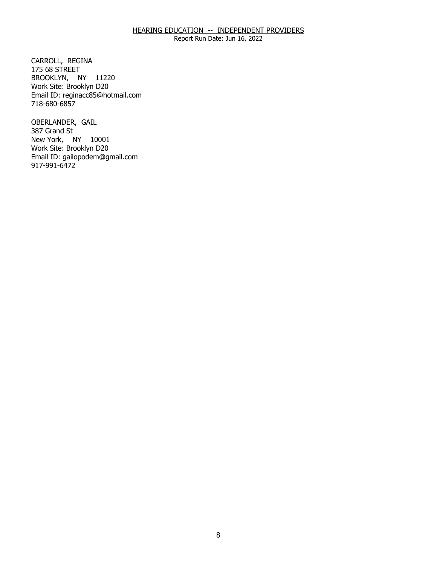Report Run Date: Jun 16, 2022

CARROLL, REGINA<br>175 68 STREET BROOKLYN, NY 11220 Work Site: Brooklyn D20 Email ID: [reginacc85@hotmail.com](mailto:reginacc85@hotmail.com)  718-680-6857

OBERLANDER, GAIL<br>387 Grand St New York, NY 10001 Work Site: Brooklyn D20 Email ID: [gailopodem@gmail.com](mailto:gailopodem@gmail.com) 917-991-6472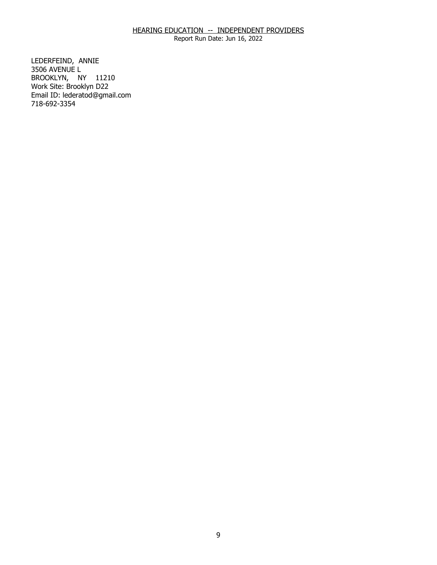Report Run Date: Jun 16, 2022

LEDERFEIND, ANNIE<br>3506 AVENUE L BROOKLYN, NY 11210 Work Site: Brooklyn D22 Email ID: [lederatod@gmail.com](mailto:lederatod@gmail.com)  718-692-3354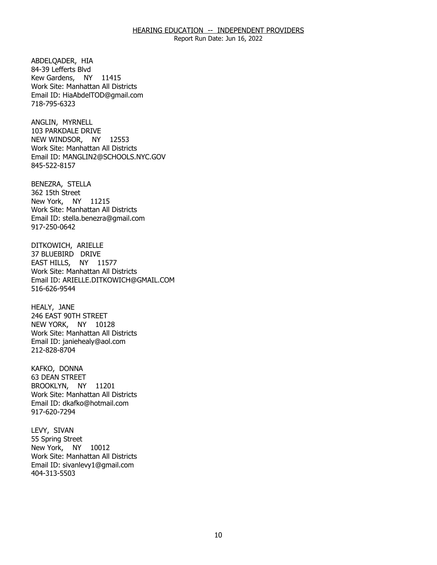Report Run Date: Jun 16, 2022

ABDELOADER, HIA Kew Gardens, NY 11415 84-39 Lefferts Blvd Work Site: Manhattan All Districts Email ID: [HiaAbdelTOD@gmail.com](mailto:HiaAbdelTOD@gmail.com)  718-795-6323

ANGLIN, MYRNELL NEW WINDSOR, NY 12553 103 PARKDALE DRIVE Work Site: Manhattan All Districts Email ID: [MANGLIN2@SCHOOLS.NYC.GOV](mailto:MANGLIN2@SCHOOLS.NYC.GOV) 845-522-8157

BENEZRA, STELLA<br>362 15th Street New York, NY 11215 Work Site: Manhattan All Districts Email ID: [stella.benezra@gmail.com](mailto:stella.benezra@gmail.com) 917-250-0642

DITKOWICH, ARIELLE<br>37 BLUEBIRD DRIVE EAST HILLS, NY 11577 Work Site: Manhattan All Districts Email ID: [ARIELLE.DITKOWICH@GMAIL.COM](mailto:ARIELLE.DITKOWICH@GMAIL.COM)  516-626-9544

HEALY, JANE NEW YORK, NY 10128 246 EAST 90TH STREET Work Site: Manhattan All Districts Email ID: [janiehealy@aol.com](mailto:janiehealy@aol.com)  212-828-8704

KAFKO, DONNA BROOKLYN, NY 11201 63 DEAN STREET Work Site: Manhattan All Districts Email ID: [dkafko@hotmail.com](mailto:dkafko@hotmail.com) 917-620-7294

LEVY, SIVAN New York, NY 10012 55 Spring Street Work Site: Manhattan All Districts Email ID: [sivanlevy1@gmail.com](mailto:sivanlevy1@gmail.com)  404-313-5503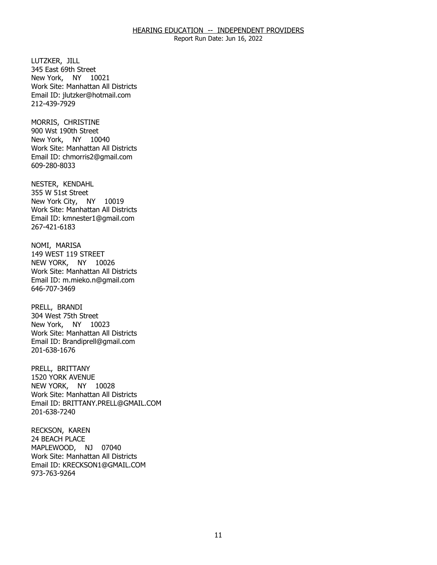Report Run Date: Jun 16, 2022

LUTZKER, JILL New York, NY 10021 345 East 69th Street Work Site: Manhattan All Districts Email ID: [jlutzker@hotmail.com](mailto:jlutzker@hotmail.com) 212-439-7929

MORRIS, CHRISTINE New York, NY 10040 900 Wst 190th Street Work Site: Manhattan All Districts Email ID: [chmorris2@gmail.com](mailto:chmorris2@gmail.com)  609-280-8033

NESTER, KENDAHL New York City, NY 10019 355 W 51st Street Work Site: Manhattan All Districts Email ID: [kmnester1@gmail.com](mailto:kmnester1@gmail.com)  267-421-6183

NOMI, MARISA NEW YORK, NY 10026 149 WEST 119 STREET Work Site: Manhattan All Districts Email ID: [m.mieko.n@gmail.com](mailto:m.mieko.n@gmail.com)  646-707-3469

PRELL, BRANDI New York, NY 10023 304 West 75th Street Work Site: Manhattan All Districts Email ID: [Brandiprell@gmail.com](mailto:Brandiprell@gmail.com) 201-638-1676

PRELL, BRITTANY NEW YORK, NY 10028 1520 YORK AVENUE Work Site: Manhattan All Districts Email ID: [BRITTANY.PRELL@GMAIL.COM](mailto:BRITTANY.PRELL@GMAIL.COM) 201-638-7240

RECKSON, KAREN<br>24 BEACH PLACE MAPLEWOOD, NJ 07040 Work Site: Manhattan All Districts Email ID: [KRECKSON1@GMAIL.COM](mailto:KRECKSON1@GMAIL.COM) 973-763-9264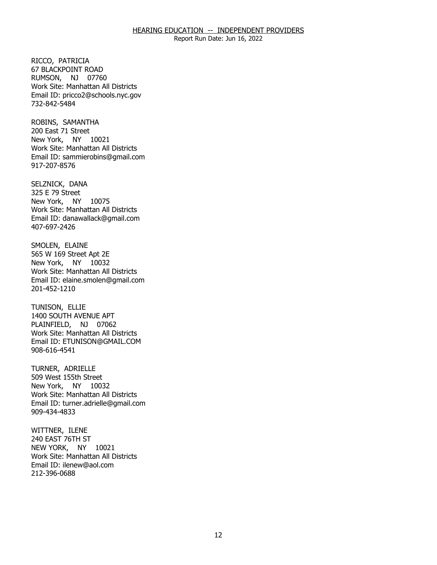Report Run Date: Jun 16, 2022

RICCO, PATRICIA RUMSON, NJ 07760 67 BLACKPOINT ROAD Work Site: Manhattan All Districts Email ID: [pricco2@schools.nyc.gov](mailto:pricco2@schools.nyc.gov)  732-842-5484

ROBINS, SAMANTHA<br>200 East 71 Street New York, NY 10021 Work Site: Manhattan All Districts Email ID: [sammierobins@gmail.com](mailto:sammierobins@gmail.com) 917-207-8576

SELZNICK, DANA<br>325 E 79 Street New York, NY 10075 Work Site: Manhattan All Districts Email ID: [danawallack@gmail.com](mailto:danawallack@gmail.com)  407-697-2426

SMOLEN, ELAINE New York, NY 10032 565 W 169 Street Apt 2E Work Site: Manhattan All Districts Email ID: [elaine.smolen@gmail.com](mailto:elaine.smolen@gmail.com)  201-452-1210

TUNISON, ELLIE PLAINFIELD, NJ 07062 1400 SOUTH AVENUE APT Work Site: Manhattan All Districts Email ID: [ETUNISON@GMAIL.COM](mailto:ETUNISON@GMAIL.COM)  908-616-4541

TURNER, ADRIELLE New York, NY 10032 509 West 155th Street Work Site: Manhattan All Districts Email ID: [turner.adrielle@gmail.com](mailto:turner.adrielle@gmail.com)  909-434-4833

WITTNER, ILENE<br>240 EAST 76TH ST NEW YORK, NY 10021 Work Site: Manhattan All Districts Email ID: [ilenew@aol.com](mailto:ilenew@aol.com) 212-396-0688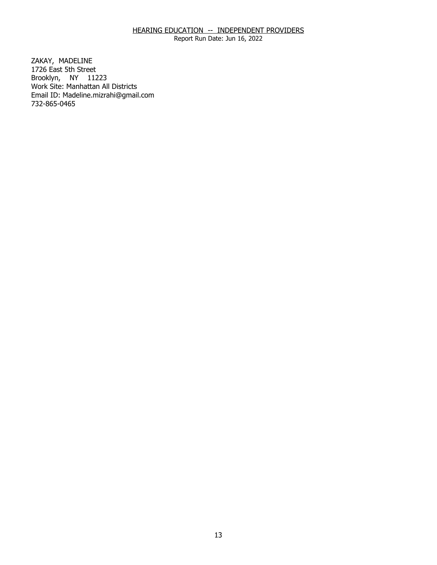Report Run Date: Jun 16, 2022

ZAKAY, MADELINE Brooklyn, NY 11223 1726 East 5th Street Work Site: Manhattan All Districts Email ID: [Madeline.mizrahi@gmail.com](mailto:Madeline.mizrahi@gmail.com) 732-865-0465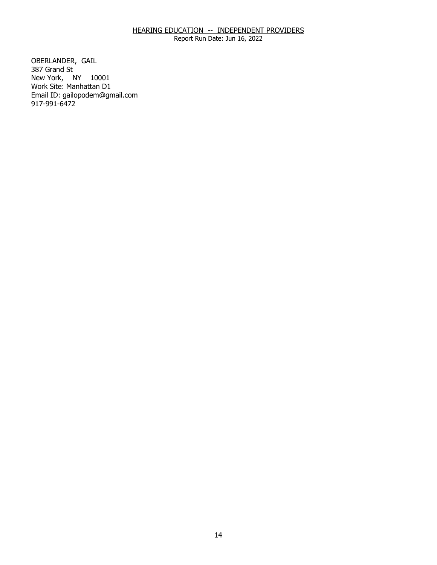Report Run Date: Jun 16, 2022

OBERLANDER, GAIL<br>387 Grand St New York, NY 10001 Work Site: Manhattan D1 Email ID: [gailopodem@gmail.com](mailto:gailopodem@gmail.com) 917-991-6472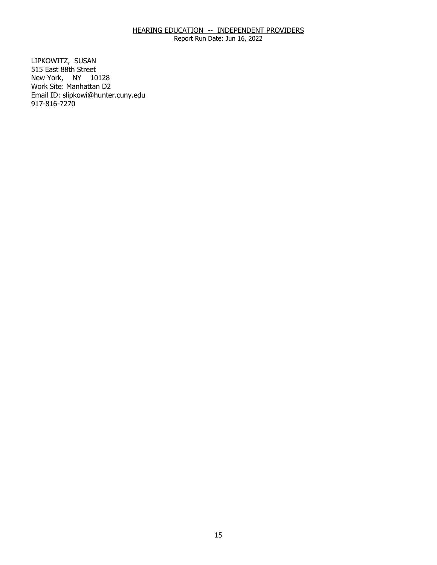Report Run Date: Jun 16, 2022

LIPKOWITZ, SUSAN New York, NY 10128 515 East 88th Street Work Site: Manhattan D2 Email ID: [slipkowi@hunter.cuny.edu](mailto:slipkowi@hunter.cuny.edu)  917-816-7270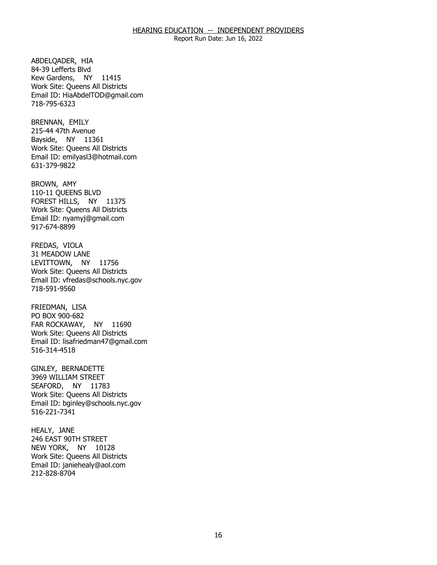Report Run Date: Jun 16, 2022

ABDELOADER, HIA Kew Gardens, NY 11415 84-39 Lefferts Blvd Work Site: Queens All Districts Email ID: [HiaAbdelTOD@gmail.com](mailto:HiaAbdelTOD@gmail.com)  718-795-6323

BRENNAN, EMILY Bayside, NY 11361 215-44 47th Avenue Work Site: Queens All Districts Email ID: [emilyasl3@hotmail.com](mailto:emilyasl3@hotmail.com)  631-379-9822

BROWN, AMY FOREST HILLS, NY 11375 110-11 QUEENS BLVD Work Site: Queens All Districts Email ID: [nyamyj@gmail.com](mailto:nyamyj@gmail.com) 917-674-8899

 FREDAS, VIOLA LEVITTOWN, NY 11756 31 MEADOW LANE Work Site: Queens All Districts Email ID: [vfredas@schools.nyc.gov](mailto:vfredas@schools.nyc.gov)  718-591-9560

FRIEDMAN, LISA FAR ROCKAWAY, NY 11690 PO BOX 900-682 Work Site: Queens All Districts Email ID: [lisafriedman47@gmail.com](mailto:lisafriedman47@gmail.com)  516-314-4518

GINLEY, BERNADETTE SEAFORD, NY 11783 3969 WILLIAM STREET Work Site: Queens All Districts Email ID: [bginley@schools.nyc.gov](mailto:bginley@schools.nyc.gov)  516-221-7341

HEALY, JANE NEW YORK, NY 10128 246 EAST 90TH STREET Work Site: Queens All Districts Email ID: [janiehealy@aol.com](mailto:janiehealy@aol.com)  212-828-8704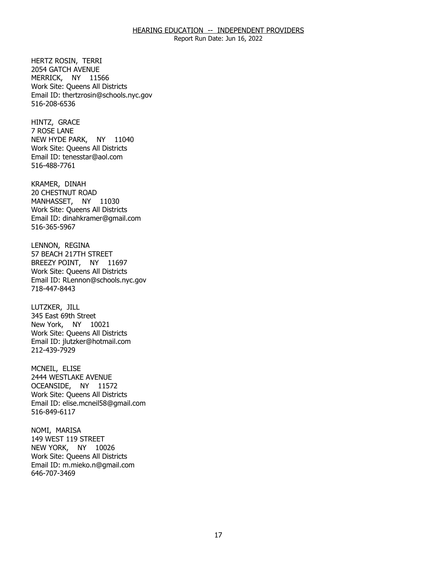Report Run Date: Jun 16, 2022

HERTZ ROSIN, TERRI MERRICK, NY 11566 2054 GATCH AVENUE Work Site: Queens All Districts Email ID: [thertzrosin@schools.nyc.gov](mailto:thertzrosin@schools.nyc.gov) 516-208-6536

HINTZ, GRACE<br>7 ROSE LANE NEW HYDE PARK, NY 11040 Work Site: Queens All Districts Email ID: [tenesstar@aol.com](mailto:tenesstar@aol.com)  516-488-7761

KRAMER, DINAH MANHASSET, NY 11030 20 CHESTNUT ROAD Work Site: Queens All Districts Email ID: [dinahkramer@gmail.com](mailto:dinahkramer@gmail.com)  516-365-5967

LENNON, REGINA BREEZY POINT, NY 11697 57 BEACH 217TH STREET Work Site: Queens All Districts Email ID: [RLennon@schools.nyc.gov](mailto:RLennon@schools.nyc.gov) 718-447-8443

LUTZKER, JILL New York, NY 10021 345 East 69th Street Work Site: Queens All Districts Email ID: [jlutzker@hotmail.com](mailto:jlutzker@hotmail.com) 212-439-7929

MCNEIL, ELISE OCEANSIDE, NY 11572 2444 WESTLAKE AVENUE Work Site: Queens All Districts Email ID: [elise.mcneil58@gmail.com](mailto:elise.mcneil58@gmail.com) 516-849-6117

NOMI, MARISA NEW YORK, NY 10026 149 WEST 119 STREET Work Site: Queens All Districts Email ID: [m.mieko.n@gmail.com](mailto:m.mieko.n@gmail.com)  646-707-3469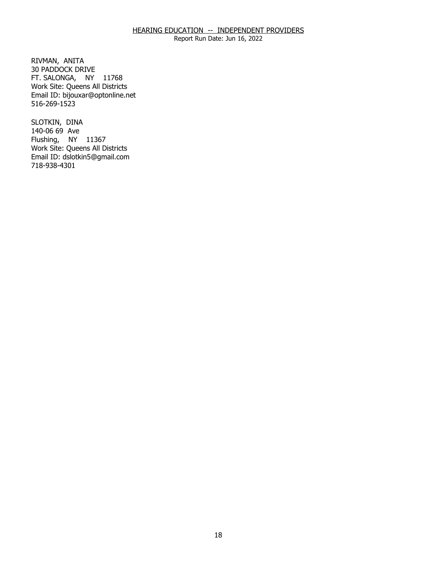Report Run Date: Jun 16, 2022

RIVMAN, ANITA FT. SALONGA, NY 11768 30 PADDOCK DRIVE Work Site: Queens All Districts Email ID: [bijouxar@optonline.net](mailto:bijouxar@optonline.net) 516-269-1523

SLOTKIN, DINA Flushing, NY 11367 140-06 69 Ave Work Site: Queens All Districts Email ID: [dslotkin5@gmail.com](mailto:dslotkin5@gmail.com)  718-938-4301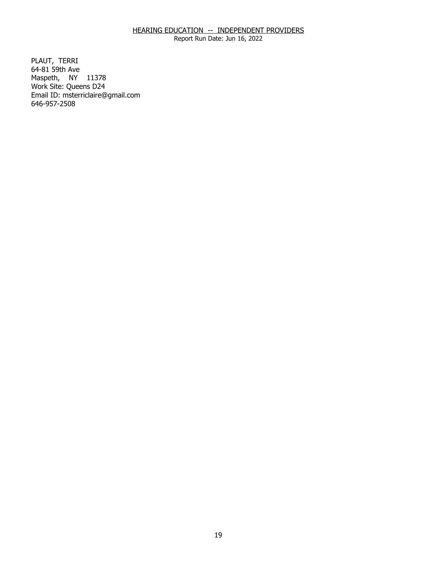Report Run Date: Jun 16, 2022

PLAUT, TERRI Maspeth, NY 11378 64-81 59th Ave Work Site: Queens D24 Email ID: [msterriclaire@gmail.com](mailto:msterriclaire@gmail.com) 646-957-2508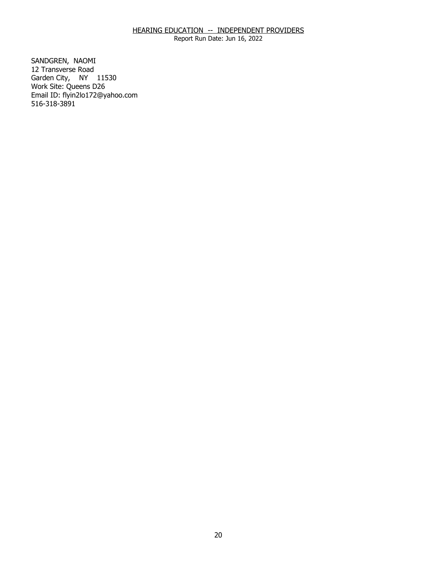Report Run Date: Jun 16, 2022

SANDGREN, NAOMI Garden City, NY 11530 12 Transverse Road Work Site: Queens D26 Email ID: [flyin2lo172@yahoo.com](mailto:flyin2lo172@yahoo.com) 516-318-3891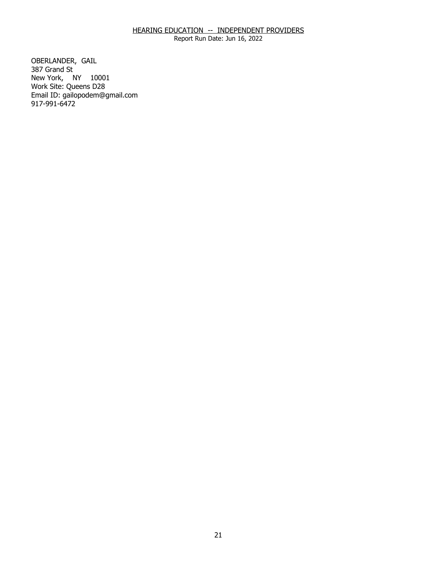Report Run Date: Jun 16, 2022

OBERLANDER, GAIL<br>387 Grand St New York, NY 10001 Work Site: Queens D28 Email ID: [gailopodem@gmail.com](mailto:gailopodem@gmail.com) 917-991-6472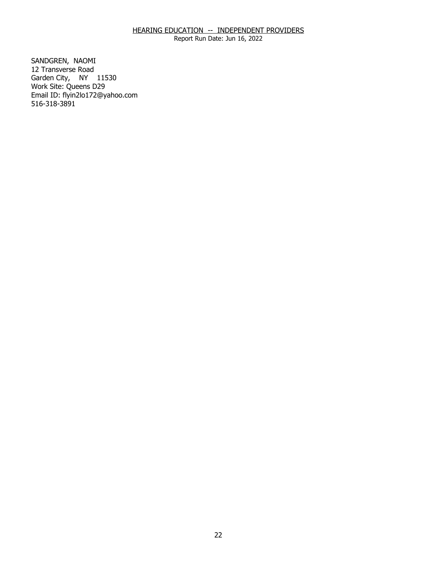Report Run Date: Jun 16, 2022

SANDGREN, NAOMI Garden City, NY 11530 12 Transverse Road Work Site: Queens D29 Email ID: [flyin2lo172@yahoo.com](mailto:flyin2lo172@yahoo.com) 516-318-3891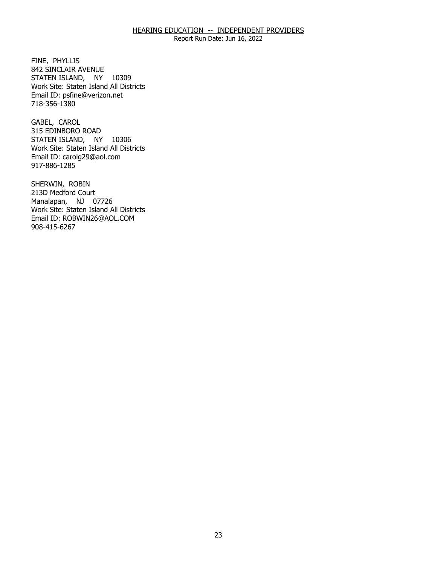Report Run Date: Jun 16, 2022

FINE, PHYLLIS STATEN ISLAND, NY 10309 842 SINCLAIR AVENUE Work Site: Staten Island All Districts Email ID: [psfine@verizon.net](mailto:psfine@verizon.net) 718-356-1380

GABEL, CAROL STATEN ISLAND, NY 10306 315 EDINBORO ROAD Work Site: Staten Island All Districts Email ID: [carolg29@aol.com](mailto:carolg29@aol.com) 917-886-1285

 SHERWIN, ROBIN Manalapan, NJ 07726 213D Medford Court Work Site: Staten Island All Districts Email ID: [ROBWIN26@AOL.COM](mailto:ROBWIN26@AOL.COM) 908-415-6267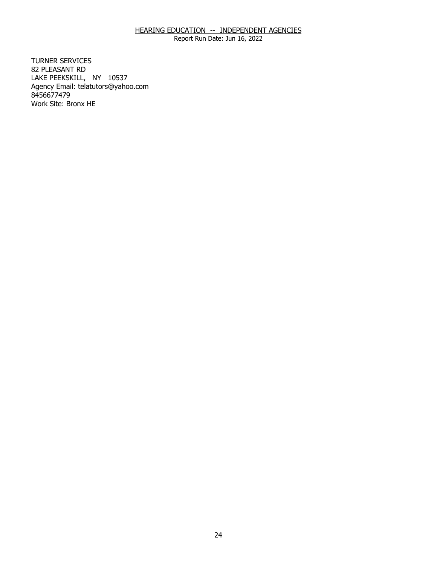Report Run Date: Jun 16, 2022

**TURNER SERVICES** 82 PLEASANT RD TURNER SERVICES<br>82 PLEASANT RD<br>LAKE PEEKSKILL, NY 10537 Agency Email: [telatutors@yahoo.com](mailto:telatutors@yahoo.com) 8456677479 Work Site: Bronx HE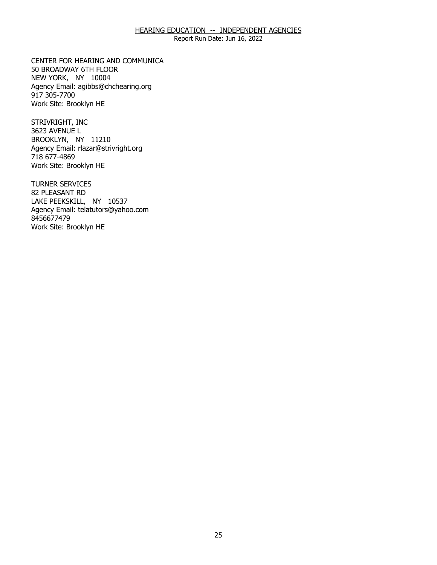Report Run Date: Jun 16, 2022

CENTER FOR HEARING AND COMMUNICA<br>50 BROADWAY 6TH FLOOR<br>NEW YORK, NY 10004 50 BROADWAY 6TH FLOOR NEW YORK, NY 10004 Agency Email: [agibbs@chchearing.org](mailto:agibbs@chchearing.org)  917 305-7700 Work Site: Brooklyn HE

STRIVRIGHT, INC 3623 AVENUE L STRIVRIGHT, INC<br>3623 AVENUE L<br>BROOKLYN, NY 11210 Agency Email: [rlazar@strivright.org](mailto:rlazar@strivright.org) 718 677-4869 Work Site: Brooklyn HE

TURNER SERVICES 82 PLEASANT RD TURNER SERVICES<br>82 PLEASANT RD<br>LAKE PEEKSKILL, NY 10537 Agency Email: [telatutors@yahoo.com](mailto:telatutors@yahoo.com) 8456677479 Work Site: Brooklyn HE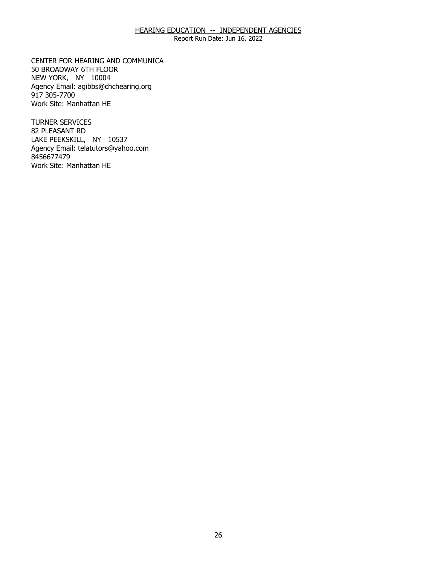Report Run Date: Jun 16, 2022

CENTER FOR HEARING AND COMMUNICA<br>50 BROADWAY 6TH FLOOR<br>NEW YORK, NY 10004 50 BROADWAY 6TH FLOOR NEW YORK, NY 10004 Agency Email: [agibbs@chchearing.org](mailto:agibbs@chchearing.org)  917 305-7700 Work Site: Manhattan HE

**TURNER SERVICES** 82 PLEASANT RD TURNER SERVICES<br>82 PLEASANT RD<br>LAKE PEEKSKILL, NY 10537 Agency Email: [telatutors@yahoo.com](mailto:telatutors@yahoo.com) 8456677479 Work Site: Manhattan HE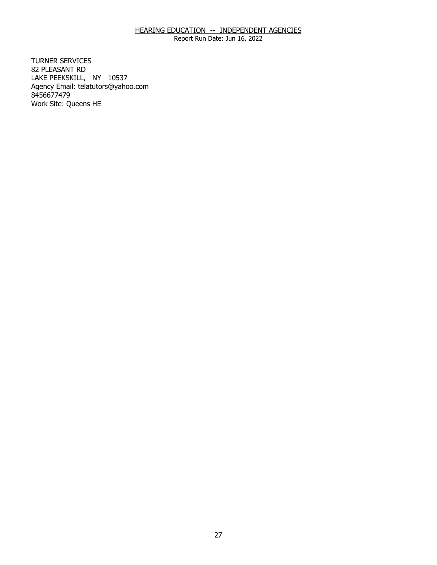Report Run Date: Jun 16, 2022

**TURNER SERVICES** 82 PLEASANT RD TURNER SERVICES<br>82 PLEASANT RD<br>LAKE PEEKSKILL, NY 10537 Agency Email: [telatutors@yahoo.com](mailto:telatutors@yahoo.com) 8456677479 Work Site: Queens HE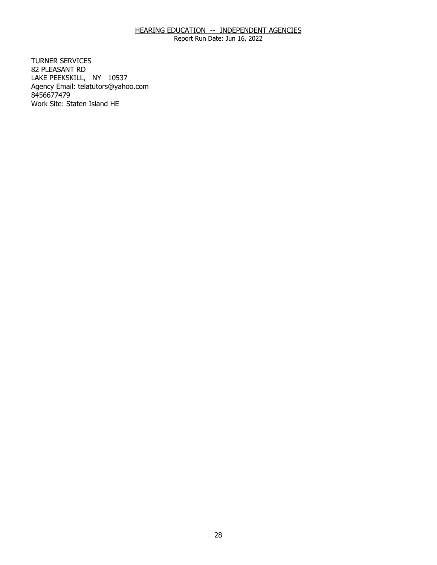Report Run Date: Jun 16, 2022

**TURNER SERVICES** 82 PLEASANT RD TURNER SERVICES<br>82 PLEASANT RD<br>LAKE PEEKSKILL, NY 10537 Agency Email: [telatutors@yahoo.com](mailto:telatutors@yahoo.com) 8456677479 Work Site: Staten Island HE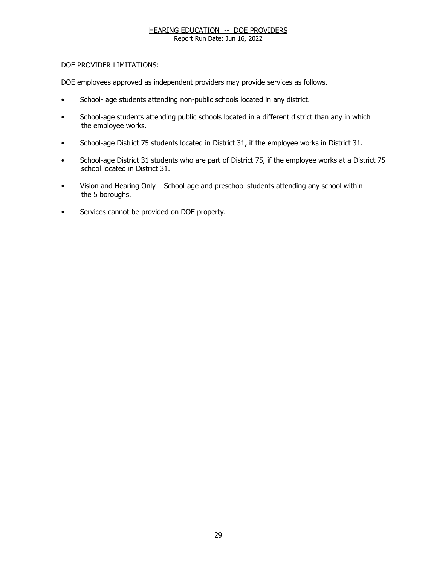Report Run Date: Jun 16, 2022

### DOE PROVIDER LIMITATIONS:

DOE employees approved as independent providers may provide services as follows.

- School- age students attending non-public schools located in any district.
- School-age students attending public schools located in a different district than any in which the employee works.
- School-age District 75 students located in District 31, if the employee works in District 31.
- School-age District 31 students who are part of District 75, if the employee works at a District 75 school located in District 31.
- Vision and Hearing Only School-age and preschool students attending any school within the 5 boroughs.
- Services cannot be provided on DOE property.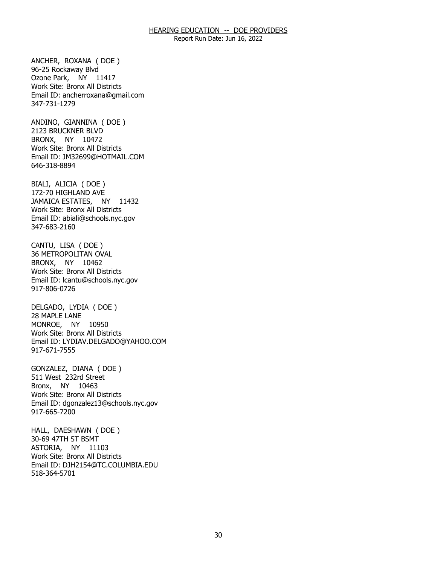Report Run Date: Jun 16, 2022

 Ozone Park, NY 11417 ANCHER, ROXANA ( DOE ) 96-25 Rockaway Blvd Work Site: Bronx All Districts Email ID: [ancherroxana@gmail.com](mailto:ancherroxana@gmail.com) 347-731-1279

 BRONX, NY 10472 ANDINO, GIANNINA ( DOE ) 2123 BRUCKNER BLVD Work Site: Bronx All Districts Email ID: [JM32699@HOTMAIL.COM](mailto:JM32699@HOTMAIL.COM) 646-318-8894

 JAMAICA ESTATES, NY 11432 BIALI, ALICIA ( DOE ) 172-70 HIGHLAND AVE Work Site: Bronx All Districts Email ID: [abiali@schools.nyc.gov](mailto:abiali@schools.nyc.gov) 347-683-2160

 BRONX, NY 10462 CANTU, LISA ( DOE ) 36 METROPOLITAN OVAL Work Site: Bronx All Districts Email ID: [lcantu@schools.nyc.gov](mailto:lcantu@schools.nyc.gov) 917-806-0726

 MONROE, NY 10950 DELGADO, LYDIA ( DOE ) 28 MAPLE LANE Work Site: Bronx All Districts Email ID: [LYDIAV.DELGADO@YAHOO.COM](mailto:LYDIAV.DELGADO@YAHOO.COM)  917-671-7555

 Bronx, NY 10463 GONZALEZ, DIANA ( DOE ) 511 West 232rd Street Work Site: Bronx All Districts Email ID: [dgonzalez13@schools.nyc.gov](mailto:dgonzalez13@schools.nyc.gov) 917-665-7200

 ASTORIA, NY 11103 HALL, DAESHAWN ( DOE ) 30-69 47TH ST BSMT Work Site: Bronx All Districts Email ID: [DJH2154@TC.COLUMBIA.EDU](mailto:DJH2154@TC.COLUMBIA.EDU) 518-364-5701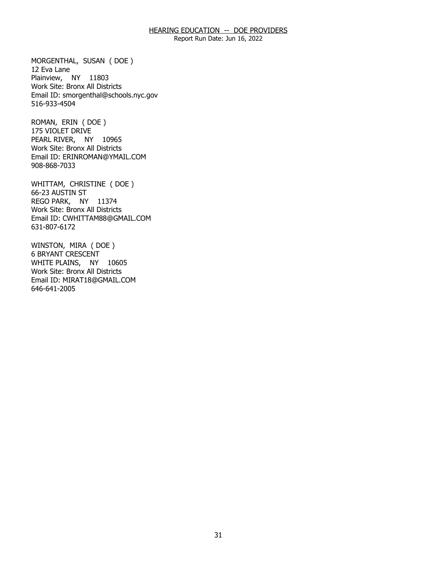Report Run Date: Jun 16, 2022

 Plainview, NY 11803 MORGENTHAL, SUSAN ( DOE ) 12 Eva Lane Work Site: Bronx All Districts Email ID: [smorgenthal@schools.nyc.gov](mailto:smorgenthal@schools.nyc.gov) 516-933-4504

 PEARL RIVER, NY 10965 ROMAN, ERIN ( DOE ) 175 VIOLET DRIVE Work Site: Bronx All Districts Email ID: [ERINROMAN@YMAIL.COM](mailto:ERINROMAN@YMAIL.COM)  908-868-7033

 REGO PARK, NY 11374 WHITTAM, CHRISTINE ( DOE ) 66-23 AUSTIN ST Work Site: Bronx All Districts Email ID: [CWHITTAM88@GMAIL.COM](mailto:CWHITTAM88@GMAIL.COM)  631-807-6172

 WHITE PLAINS, NY 10605 WINSTON, MIRA ( DOE ) 6 BRYANT CRESCENT Work Site: Bronx All Districts Email ID: [MIRAT18@GMAIL.COM](mailto:MIRAT18@GMAIL.COM) 646-641-2005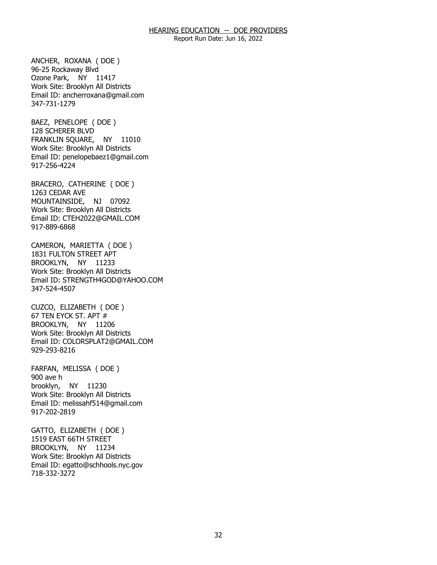Report Run Date: Jun 16, 2022

 Ozone Park, NY 11417 ANCHER, ROXANA ( DOE ) 96-25 Rockaway Blvd Work Site: Brooklyn All Districts Email ID: [ancherroxana@gmail.com](mailto:ancherroxana@gmail.com) 347-731-1279

 FRANKLIN SQUARE, NY 11010 BAEZ, PENELOPE ( DOE ) 128 SCHERER BLVD Work Site: Brooklyn All Districts Email ID: [penelopebaez1@gmail.com](mailto:penelopebaez1@gmail.com) 917-256-4224

 MOUNTAINSIDE, NJ 07092 BRACERO, CATHERINE ( DOE ) 1263 CEDAR AVE Work Site: Brooklyn All Districts Email ID: [CTEH2022@GMAIL.COM](mailto:CTEH2022@GMAIL.COM)  917-889-6868

 BROOKLYN, NY 11233 CAMERON, MARIETTA ( DOE ) 1831 FULTON STREET APT Work Site: Brooklyn All Districts Email ID: [STRENGTH4GOD@YAHOO.COM](mailto:STRENGTH4GOD@YAHOO.COM)  347-524-4507

 BROOKLYN, NY 11206 CUZCO, ELIZABETH ( DOE ) 67 TEN EYCK ST. APT # Work Site: Brooklyn All Districts Email ID: [COLORSPLAT2@GMAIL.COM](mailto:COLORSPLAT2@GMAIL.COM)  929-293-8216

 brooklyn, NY 11230 FARFAN, MELISSA ( DOE ) 900 ave h Work Site: Brooklyn All Districts Email ID: [melissahf514@gmail.com](mailto:melissahf514@gmail.com)  917-202-2819

 BROOKLYN, NY 11234 GATTO, ELIZABETH ( DOE ) 1519 EAST 66TH STREET Work Site: Brooklyn All Districts Email ID: [egatto@schhools.nyc.gov](mailto:egatto@schhools.nyc.gov) 718-332-3272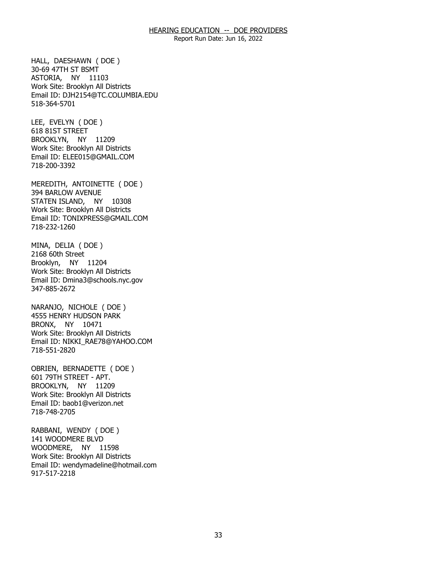Report Run Date: Jun 16, 2022

 ASTORIA, NY 11103 HALL, DAESHAWN ( DOE ) 30-69 47TH ST BSMT Work Site: Brooklyn All Districts Email ID: [DJH2154@TC.COLUMBIA.EDU](mailto:DJH2154@TC.COLUMBIA.EDU) 518-364-5701

 BROOKLYN, NY 11209 LEE, EVELYN ( DOE ) 618 81ST STREET Work Site: Brooklyn All Districts Email ID: [ELEE015@GMAIL.COM](mailto:ELEE015@GMAIL.COM) 718-200-3392

 STATEN ISLAND, NY 10308 MEREDITH, ANTOINETTE ( DOE ) 394 BARLOW AVENUE Work Site: Brooklyn All Districts Email ID: [TONIXPRESS@GMAIL.COM](mailto:TONIXPRESS@GMAIL.COM) 718-232-1260

 Brooklyn, NY 11204 MINA, DELIA ( DOE ) 2168 60th Street Work Site: Brooklyn All Districts Email ID: [Dmina3@schools.nyc.gov](mailto:Dmina3@schools.nyc.gov) 347-885-2672

 BRONX, NY 10471 NARANJO, NICHOLE ( DOE ) 4555 HENRY HUDSON PARK Work Site: Brooklyn All Districts Email ID: [NIKKI\\_RAE78@YAHOO.COM](mailto:NIKKI_RAE78@YAHOO.COM)  718-551-2820

 BROOKLYN, NY 11209 OBRIEN, BERNADETTE ( DOE ) 601 79TH STREET - APT. Work Site: Brooklyn All Districts Email ID: [baob1@verizon.net](mailto:baob1@verizon.net)  718-748-2705

 WOODMERE, NY 11598 RABBANI, WENDY ( DOE ) 141 WOODMERE BLVD Work Site: Brooklyn All Districts Email ID: [wendymadeline@hotmail.com](mailto:wendymadeline@hotmail.com)  917-517-2218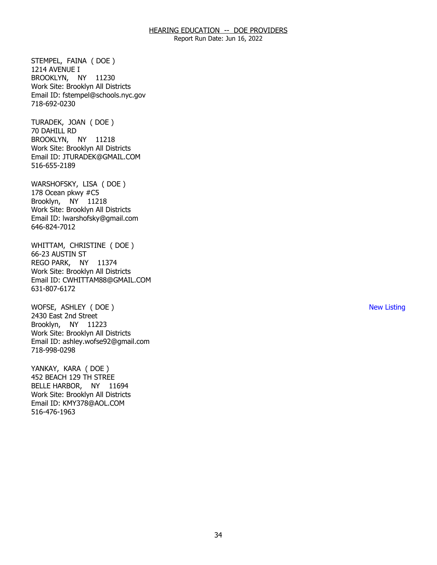Report Run Date: Jun 16, 2022

 BROOKLYN, NY 11230 STEMPEL, FAINA ( DOE ) 1214 AVENUE I Work Site: Brooklyn All Districts Email ID: [fstempel@schools.nyc.gov](mailto:fstempel@schools.nyc.gov) 718-692-0230

 BROOKLYN, NY 11218 TURADEK, JOAN ( DOE ) 70 DAHILL RD Work Site: Brooklyn All Districts Email ID: [JTURADEK@GMAIL.COM](mailto:JTURADEK@GMAIL.COM)  516-655-2189

 Brooklyn, NY 11218 WARSHOFSKY, LISA ( DOE ) 178 Ocean pkwy #C5 Work Site: Brooklyn All Districts Email ID: [lwarshofsky@gmail.com](mailto:lwarshofsky@gmail.com)  646-824-7012

 REGO PARK, NY 11374 WHITTAM, CHRISTINE ( DOE ) 66-23 AUSTIN ST Work Site: Brooklyn All Districts Email ID: [CWHITTAM88@GMAIL.COM](mailto:CWHITTAM88@GMAIL.COM)  631-807-6172

 Brooklyn, NY 11223 WOFSE, ASHLEY ( DOE ) 2430 East 2nd Street Work Site: Brooklyn All Districts Email ID: [ashley.wofse92@gmail.com](mailto:ashley.wofse92@gmail.com)  718-998-0298

 BELLE HARBOR, NY 11694 YANKAY, KARA ( DOE ) 452 BEACH 129 TH STREE Work Site: Brooklyn All Districts Email ID: [KMY378@AOL.COM](mailto:KMY378@AOL.COM)  516-476-1963

New Listing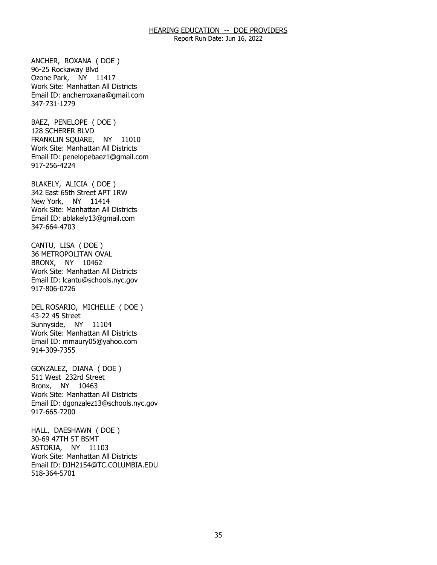Report Run Date: Jun 16, 2022

 Ozone Park, NY 11417 ANCHER, ROXANA ( DOE ) 96-25 Rockaway Blvd Work Site: Manhattan All Districts Email ID: [ancherroxana@gmail.com](mailto:ancherroxana@gmail.com) 347-731-1279

 FRANKLIN SQUARE, NY 11010 BAEZ, PENELOPE ( DOE ) 128 SCHERER BLVD Work Site: Manhattan All Districts Email ID: [penelopebaez1@gmail.com](mailto:penelopebaez1@gmail.com) 917-256-4224

 New York, NY 11414 BLAKELY, ALICIA ( DOE ) 342 East 65th Street APT 1RW Work Site: Manhattan All Districts Email ID: [ablakely13@gmail.com](mailto:ablakely13@gmail.com)  347-664-4703

 BRONX, NY 10462 CANTU, LISA ( DOE ) 36 METROPOLITAN OVAL Work Site: Manhattan All Districts Email ID: [lcantu@schools.nyc.gov](mailto:lcantu@schools.nyc.gov) 917-806-0726

 Sunnyside, NY 11104 DEL ROSARIO, MICHELLE ( DOE ) 43-22 45 Street Work Site: Manhattan All Districts Email ID: [mmaury05@yahoo.com](mailto:mmaury05@yahoo.com) 914-309-7355

 Bronx, NY 10463 GONZALEZ, DIANA ( DOE ) 511 West 232rd Street Work Site: Manhattan All Districts Email ID: [dgonzalez13@schools.nyc.gov](mailto:dgonzalez13@schools.nyc.gov) 917-665-7200

 ASTORIA, NY 11103 HALL, DAESHAWN ( DOE ) 30-69 47TH ST BSMT Work Site: Manhattan All Districts Email ID: [DJH2154@TC.COLUMBIA.EDU](mailto:DJH2154@TC.COLUMBIA.EDU) 518-364-5701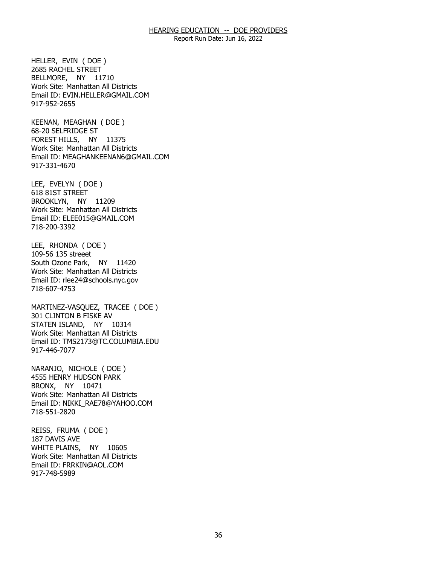Report Run Date: Jun 16, 2022

 BELLMORE, NY 11710 HELLER, EVIN ( DOE ) 2685 RACHEL STREET Work Site: Manhattan All Districts Email ID: [EVIN.HELLER@GMAIL.COM](mailto:EVIN.HELLER@GMAIL.COM) 917-952-2655

 FOREST HILLS, NY 11375 KEENAN, MEAGHAN ( DOE ) 68-20 SELFRIDGE ST Work Site: Manhattan All Districts Email ID: [MEAGHANKEENAN6@GMAIL.COM](mailto:MEAGHANKEENAN6@GMAIL.COM) 917-331-4670

 BROOKLYN, NY 11209 LEE, EVELYN ( DOE ) 618 81ST STREET Work Site: Manhattan All Districts Email ID: [ELEE015@GMAIL.COM](mailto:ELEE015@GMAIL.COM) 718-200-3392

LEE, RHONDA ( DOE ) 109-56 135 streeet South Ozone Park, NY 11420 Work Site: Manhattan All Districts Email ID: [rlee24@schools.nyc.gov](mailto:rlee24@schools.nyc.gov)  718-607-4753

 STATEN ISLAND, NY 10314 MARTINEZ-VASQUEZ, TRACEE ( DOE ) 301 CLINTON B FISKE AV Work Site: Manhattan All Districts Email ID: [TMS2173@TC.COLUMBIA.EDU](mailto:TMS2173@TC.COLUMBIA.EDU)  917-446-7077

 BRONX, NY 10471 NARANJO, NICHOLE ( DOE ) 4555 HENRY HUDSON PARK Work Site: Manhattan All Districts Email ID: [NIKKI\\_RAE78@YAHOO.COM](mailto:NIKKI_RAE78@YAHOO.COM)  718-551-2820

 WHITE PLAINS, NY 10605 REISS, FRUMA ( DOE ) 187 DAVIS AVE Work Site: Manhattan All Districts Email ID: [FRRKIN@AOL.COM](mailto:FRRKIN@AOL.COM)  917-748-5989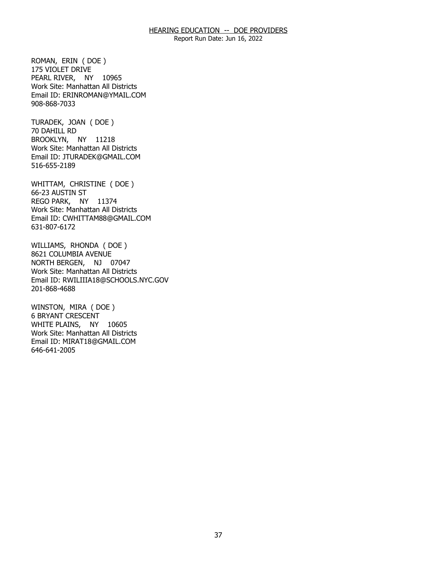Report Run Date: Jun 16, 2022

 PEARL RIVER, NY 10965 ROMAN, ERIN ( DOE ) 175 VIOLET DRIVE Work Site: Manhattan All Districts Email ID: [ERINROMAN@YMAIL.COM](mailto:ERINROMAN@YMAIL.COM)  908-868-7033

 BROOKLYN, NY 11218 TURADEK, JOAN ( DOE ) 70 DAHILL RD Work Site: Manhattan All Districts Email ID: [JTURADEK@GMAIL.COM](mailto:JTURADEK@GMAIL.COM)  516-655-2189

 REGO PARK, NY 11374 WHITTAM, CHRISTINE ( DOE ) 66-23 AUSTIN ST Work Site: Manhattan All Districts Email ID: [CWHITTAM88@GMAIL.COM](mailto:CWHITTAM88@GMAIL.COM)  631-807-6172

 NORTH BERGEN, NJ 07047 WILLIAMS, RHONDA ( DOE ) 8621 COLUMBIA AVENUE Work Site: Manhattan All Districts Email ID: [RWILIIIA18@SCHOOLS.NYC.GOV](mailto:RWILIIIA18@SCHOOLS.NYC.GOV) 201-868-4688

 WHITE PLAINS, NY 10605 WINSTON, MIRA ( DOE ) 6 BRYANT CRESCENT Work Site: Manhattan All Districts Email ID: [MIRAT18@GMAIL.COM](mailto:MIRAT18@GMAIL.COM) 646-641-2005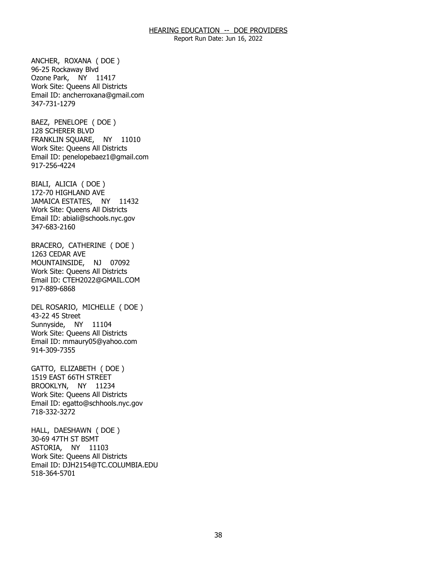Report Run Date: Jun 16, 2022

 Ozone Park, NY 11417 ANCHER, ROXANA ( DOE ) 96-25 Rockaway Blvd Work Site: Queens All Districts Email ID: [ancherroxana@gmail.com](mailto:ancherroxana@gmail.com) 347-731-1279

 FRANKLIN SQUARE, NY 11010 BAEZ, PENELOPE ( DOE ) 128 SCHERER BLVD Work Site: Queens All Districts Email ID: [penelopebaez1@gmail.com](mailto:penelopebaez1@gmail.com) 917-256-4224

 JAMAICA ESTATES, NY 11432 BIALI, ALICIA ( DOE ) 172-70 HIGHLAND AVE Work Site: Queens All Districts Email ID: [abiali@schools.nyc.gov](mailto:abiali@schools.nyc.gov) 347-683-2160

 MOUNTAINSIDE, NJ 07092 BRACERO, CATHERINE ( DOE ) 1263 CEDAR AVE Work Site: Queens All Districts Email ID: [CTEH2022@GMAIL.COM](mailto:CTEH2022@GMAIL.COM)  917-889-6868

 Sunnyside, NY 11104 DEL ROSARIO, MICHELLE ( DOE ) 43-22 45 Street Work Site: Queens All Districts Email ID: [mmaury05@yahoo.com](mailto:mmaury05@yahoo.com) 914-309-7355

 BROOKLYN, NY 11234 GATTO, ELIZABETH ( DOE ) 1519 EAST 66TH STREET Work Site: Queens All Districts Email ID: [egatto@schhools.nyc.gov](mailto:egatto@schhools.nyc.gov) 718-332-3272

 ASTORIA, NY 11103 HALL, DAESHAWN ( DOE ) 30-69 47TH ST BSMT Work Site: Queens All Districts Email ID: [DJH2154@TC.COLUMBIA.EDU](mailto:DJH2154@TC.COLUMBIA.EDU) 518-364-5701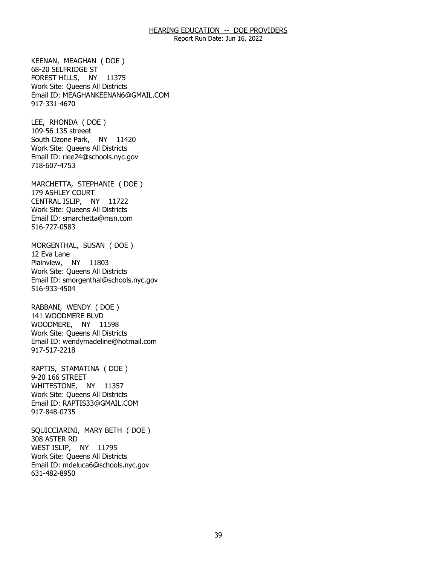Report Run Date: Jun 16, 2022

 FOREST HILLS, NY 11375 KEENAN, MEAGHAN ( DOE ) 68-20 SELFRIDGE ST Work Site: Queens All Districts Email ID: [MEAGHANKEENAN6@GMAIL.COM](mailto:MEAGHANKEENAN6@GMAIL.COM) 917-331-4670

NY 11420 LEE, RHONDA ( DOE ) 109-56 135 streeet South Ozone Park, Work Site: Queens All Districts Email ID: [rlee24@schools.nyc.gov](mailto:rlee24@schools.nyc.gov)  718-607-4753

 CENTRAL ISLIP, NY 11722 MARCHETTA, STEPHANIE ( DOE ) 179 ASHLEY COURT Work Site: Queens All Districts Email ID: [smarchetta@msn.com](mailto:smarchetta@msn.com)  516-727-0583

 Plainview, NY 11803 MORGENTHAL, SUSAN ( DOE ) 12 Eva Lane Work Site: Queens All Districts Email ID: [smorgenthal@schools.nyc.gov](mailto:smorgenthal@schools.nyc.gov) 516-933-4504

 WOODMERE, NY 11598 RABBANI, WENDY ( DOE ) 141 WOODMERE BLVD Work Site: Queens All Districts Email ID: [wendymadeline@hotmail.com](mailto:wendymadeline@hotmail.com)  917-517-2218

 WHITESTONE, NY 11357 RAPTIS, STAMATINA ( DOE ) 9-20 166 STREET Work Site: Queens All Districts Email ID: [RAPTIS33@GMAIL.COM](mailto:RAPTIS33@GMAIL.COM)  917-848-0735

 WEST ISLIP, NY 11795 SQUICCIARINI, MARY BETH ( DOE ) 308 ASTER RD Work Site: Queens All Districts Email ID: [mdeluca6@schools.nyc.gov](mailto:mdeluca6@schools.nyc.gov)  631-482-8950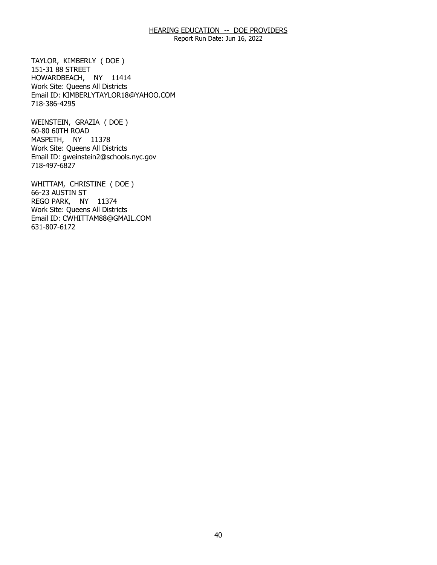Report Run Date: Jun 16, 2022

 HOWARDBEACH, NY 11414 TAYLOR, KIMBERLY ( DOE ) 151-31 88 STREET Work Site: Queens All Districts Email ID: [KIMBERLYTAYLOR18@YAHOO.COM](mailto:KIMBERLYTAYLOR18@YAHOO.COM) 718-386-4295

 MASPETH, NY 11378 WEINSTEIN, GRAZIA ( DOE ) 60-80 60TH ROAD Work Site: Queens All Districts Email ID: [gweinstein2@schools.nyc.gov](mailto:gweinstein2@schools.nyc.gov)  718-497-6827

 REGO PARK, NY 11374 WHITTAM, CHRISTINE ( DOE ) 66-23 AUSTIN ST Work Site: Queens All Districts Email ID: [CWHITTAM88@GMAIL.COM](mailto:CWHITTAM88@GMAIL.COM)  631-807-6172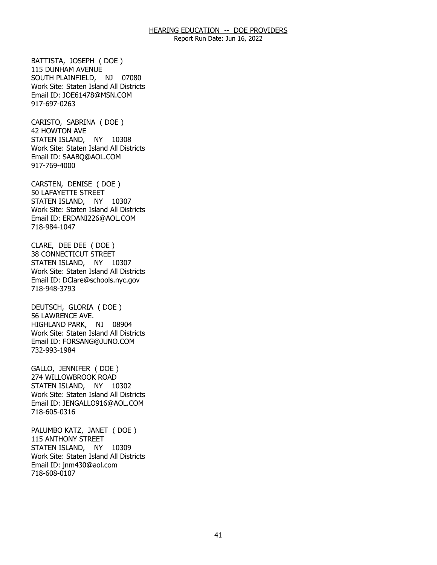Report Run Date: Jun 16, 2022

 SOUTH PLAINFIELD, NJ 07080 BATTISTA, JOSEPH ( DOE ) 115 DUNHAM AVENUE Work Site: Staten Island All Districts Email ID: [JOE61478@MSN.COM](mailto:JOE61478@MSN.COM)  917-697-0263

 STATEN ISLAND, NY 10308 CARISTO, SABRINA ( DOE ) 42 HOWTON AVE Work Site: Staten Island All Districts Email ID: [SAABQ@AOL.COM](mailto:SAABQ@AOL.COM) 917-769-4000

 STATEN ISLAND, NY 10307 CARSTEN, DENISE ( DOE ) 50 LAFAYETTE STREET Work Site: Staten Island All Districts Email ID: [ERDANI226@AOL.COM](mailto:ERDANI226@AOL.COM) 718-984-1047

 STATEN ISLAND, NY 10307 CLARE, DEE DEE ( DOE ) 38 CONNECTICUT STREET Work Site: Staten Island All Districts Email ID: [DClare@schools.nyc.gov](mailto:DClare@schools.nyc.gov)  718-948-3793

 HIGHLAND PARK, NJ 08904 DEUTSCH, GLORIA ( DOE ) 56 LAWRENCE AVE. Work Site: Staten Island All Districts Email ID: [FORSANG@JUNO.COM](mailto:FORSANG@JUNO.COM)  732-993-1984

 STATEN ISLAND, NY 10302 GALLO, JENNIFER ( DOE ) 274 WILLOWBROOK ROAD Work Site: Staten Island All Districts Email ID: [JENGALLO916@AOL.COM](mailto:JENGALLO916@AOL.COM) 718-605-0316

 STATEN ISLAND, NY 10309 PALUMBO KATZ, JANET ( DOE ) 115 ANTHONY STREET Work Site: Staten Island All Districts Email ID: [jnm430@aol.com](mailto:jnm430@aol.com)  718-608-0107